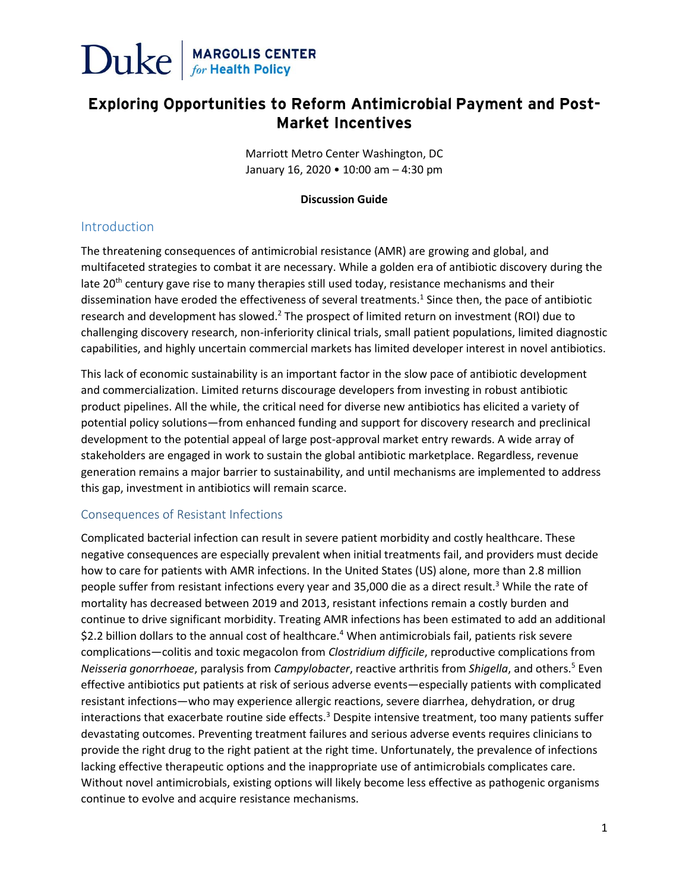

### **Exploring Opportunities to Reform Antimicrobial Payment and Post-Market Incentives**

Marriott Metro Center Washington, DC January 16, 2020 • 10:00 am – 4:30 pm

#### **Discussion Guide**

### Introduction

The threatening consequences of antimicrobial resistance (AMR) are growing and global, and multifaceted strategies to combat it are necessary. While a golden era of antibiotic discovery during the late 20<sup>th</sup> century gave rise to many therapies still used today, resistance mechanisms and their dissemination have eroded the effectiveness of several treatments.<sup>1</sup> Since then, the pace of antibiotic research and development has slowed.<sup>2</sup> The prospect of limited return on investment (ROI) due to challenging discovery research, non-inferiority clinical trials, small patient populations, limited diagnostic capabilities, and highly uncertain commercial markets has limited developer interest in novel antibiotics.

This lack of economic sustainability is an important factor in the slow pace of antibiotic development and commercialization. Limited returns discourage developers from investing in robust antibiotic product pipelines. All the while, the critical need for diverse new antibiotics has elicited a variety of potential policy solutions—from enhanced funding and support for discovery research and preclinical development to the potential appeal of large post-approval market entry rewards. A wide array of stakeholders are engaged in work to sustain the global antibiotic marketplace. Regardless, revenue generation remains a major barrier to sustainability, and until mechanisms are implemented to address this gap, investment in antibiotics will remain scarce.

### Consequences of Resistant Infections

Complicated bacterial infection can result in severe patient morbidity and costly healthcare. These negative consequences are especially prevalent when initial treatments fail, and providers must decide how to care for patients with AMR infections. In the United States (US) alone, more than 2.8 million people suffer from resistant infections every year and 35,000 die as a direct result. <sup>3</sup> While the rate of mortality has decreased between 2019 and 2013, resistant infections remain a costly burden and continue to drive significant morbidity. Treating AMR infections has been estimated to add an additional \$2.2 billion dollars to the annual cost of healthcare. <sup>4</sup> When antimicrobials fail, patients risk severe complications—colitis and toxic megacolon from *Clostridium difficile*, reproductive complications from *Neisseria gonorrhoeae*, paralysis from *Campylobacter*, reactive arthritis from *Shigella*, and others.<sup>5</sup> Even effective antibiotics put patients at risk of serious adverse events—especially patients with complicated resistant infections—who may experience allergic reactions, severe diarrhea, dehydration, or drug interactions that exacerbate routine side effects.<sup>3</sup> Despite intensive treatment, too many patients suffer devastating outcomes. Preventing treatment failures and serious adverse events requires clinicians to provide the right drug to the right patient at the right time. Unfortunately, the prevalence of infections lacking effective therapeutic options and the inappropriate use of antimicrobials complicates care. Without novel antimicrobials, existing options will likely become less effective as pathogenic organisms continue to evolve and acquire resistance mechanisms.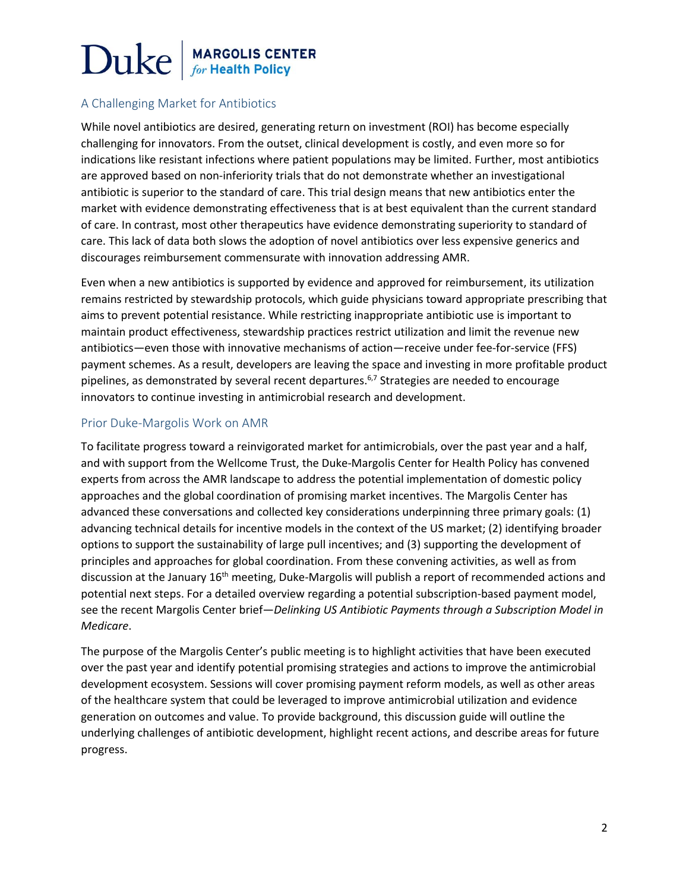### A Challenging Market for Antibiotics

While novel antibiotics are desired, generating return on investment (ROI) has become especially challenging for innovators. From the outset, clinical development is costly, and even more so for indications like resistant infections where patient populations may be limited. Further, most antibiotics are approved based on non-inferiority trials that do not demonstrate whether an investigational antibiotic is superior to the standard of care. This trial design means that new antibiotics enter the market with evidence demonstrating effectiveness that is at best equivalent than the current standard of care. In contrast, most other therapeutics have evidence demonstrating superiority to standard of care. This lack of data both slows the adoption of novel antibiotics over less expensive generics and discourages reimbursement commensurate with innovation addressing AMR.

Even when a new antibiotics is supported by evidence and approved for reimbursement, its utilization remains restricted by stewardship protocols, which guide physicians toward appropriate prescribing that aims to prevent potential resistance. While restricting inappropriate antibiotic use is important to maintain product effectiveness, stewardship practices restrict utilization and limit the revenue new antibiotics—even those with innovative mechanisms of action—receive under fee-for-service (FFS) payment schemes. As a result, developers are leaving the space and investing in more profitable product pipelines, as demonstrated by several recent departures.<sup>6,7</sup> Strategies are needed to encourage innovators to continue investing in antimicrobial research and development.

### Prior Duke-Margolis Work on AMR

To facilitate progress toward a reinvigorated market for antimicrobials, over the past year and a half, and with support from the Wellcome Trust, the Duke-Margolis Center for Health Policy has convened experts from across the AMR landscape to address the potential implementation of domestic policy approaches and the global coordination of promising market incentives. The Margolis Center has advanced these conversations and collected key considerations underpinning three primary goals: (1) advancing technical details for incentive models in the context of the US market; (2) identifying broader options to support the sustainability of large pull incentives; and (3) supporting the development of principles and approaches for global coordination. From these convening activities, as well as from discussion at the January 16<sup>th</sup> meeting, Duke-Margolis will publish a report of recommended actions and potential next steps. For a detailed overview regarding a potential subscription-based payment model, see the recent Margolis Center brief—*Delinking US Antibiotic Payments through a Subscription Model in Medicare*.

The purpose of the Margolis Center's public meeting is to highlight activities that have been executed over the past year and identify potential promising strategies and actions to improve the antimicrobial development ecosystem. Sessions will cover promising payment reform models, as well as other areas of the healthcare system that could be leveraged to improve antimicrobial utilization and evidence generation on outcomes and value. To provide background, this discussion guide will outline the underlying challenges of antibiotic development, highlight recent actions, and describe areas for future progress.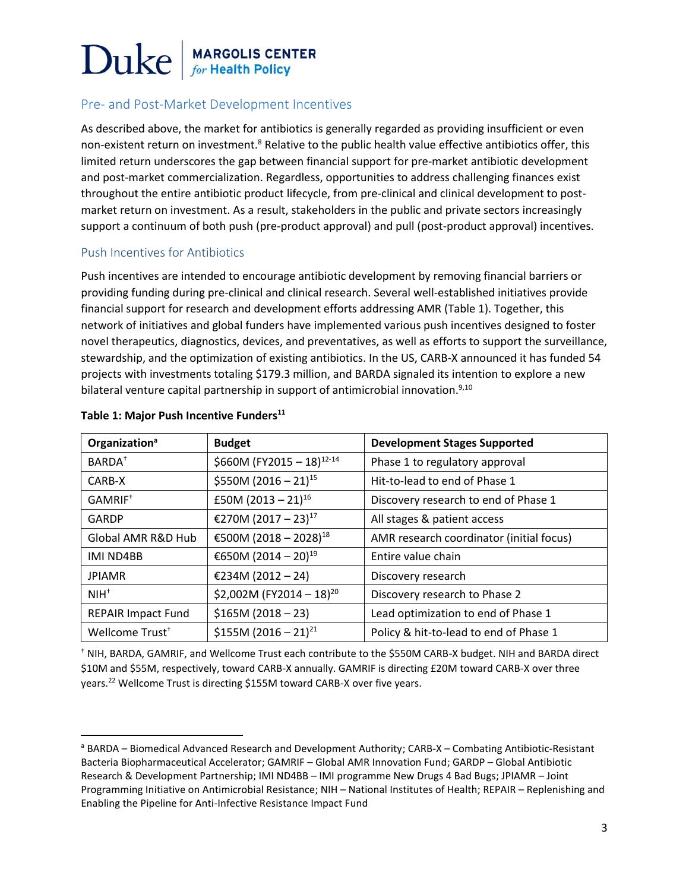### Pre- and Post-Market Development Incentives

As described above, the market for antibiotics is generally regarded as providing insufficient or even non-existent return on investment.<sup>8</sup> Relative to the public health value effective antibiotics offer, this limited return underscores the gap between financial support for pre-market antibiotic development and post-market commercialization. Regardless, opportunities to address challenging finances exist throughout the entire antibiotic product lifecycle, from pre-clinical and clinical development to postmarket return on investment. As a result, stakeholders in the public and private sectors increasingly support a continuum of both push (pre-product approval) and pull (post-product approval) incentives.

### Push Incentives for Antibiotics

Push incentives are intended to encourage antibiotic development by removing financial barriers or providing funding during pre-clinical and clinical research. Several well-established initiatives provide financial support for research and development efforts addressing AMR (Table 1). Together, this network of initiatives and global funders have implemented various push incentives designed to foster novel therapeutics, diagnostics, devices, and preventatives, as well as efforts to support the surveillance, stewardship, and the optimization of existing antibiotics. In the US, CARB-X announced it has funded 54 projects with investments totaling \$179.3 million, and BARDA signaled its intention to explore a new bilateral venture capital partnership in support of antimicrobial innovation.<sup>9,10</sup>

| Organization <sup>a</sup>   | <b>Budget</b>                         | <b>Development Stages Supported</b>      |
|-----------------------------|---------------------------------------|------------------------------------------|
| BARDA <sup>+</sup>          | \$660M (FY2015 - 18) <sup>12-14</sup> | Phase 1 to regulatory approval           |
| CARB-X                      | \$550M (2016 - 21) <sup>15</sup>      | Hit-to-lead to end of Phase 1            |
| GAMRIF <sup>+</sup>         | £50M (2013 - 21) <sup>16</sup>        | Discovery research to end of Phase 1     |
| GARDP                       | €270M (2017 – 23) <sup>17</sup>       | All stages & patient access              |
| Global AMR R&D Hub          | €500M (2018 - 2028) <sup>18</sup>     | AMR research coordinator (initial focus) |
| IMI ND4BB                   | €650M (2014 - 20) <sup>19</sup>       | Entire value chain                       |
| <b>JPIAMR</b>               | €234M (2012 - 24)                     | Discovery research                       |
| $NIH+$                      | \$2,002M (FY2014 - 18) <sup>20</sup>  | Discovery research to Phase 2            |
| <b>REPAIR Impact Fund</b>   | $$165M (2018 - 23)$                   | Lead optimization to end of Phase 1      |
| Wellcome Trust <sup>+</sup> | \$155M (2016 - 21) <sup>21</sup>      | Policy & hit-to-lead to end of Phase 1   |

#### **Table 1: Major Push Incentive Funders<sup>11</sup>**

† NIH, BARDA, GAMRIF, and Wellcome Trust each contribute to the \$550M CARB-X budget. NIH and BARDA direct \$10M and \$55M, respectively, toward CARB-X annually. GAMRIF is directing £20M toward CARB-X over three years.<sup>22</sup> Wellcome Trust is directing \$155M toward CARB-X over five years.

<sup>a</sup> BARDA – Biomedical Advanced Research and Development Authority; CARB-X – Combating Antibiotic-Resistant Bacteria Biopharmaceutical Accelerator; GAMRIF – Global AMR Innovation Fund; GARDP – Global Antibiotic Research & Development Partnership; IMI ND4BB – IMI programme New Drugs 4 Bad Bugs; JPIAMR – Joint Programming Initiative on Antimicrobial Resistance; NIH – National Institutes of Health; REPAIR – Replenishing and Enabling the Pipeline for Anti-Infective Resistance Impact Fund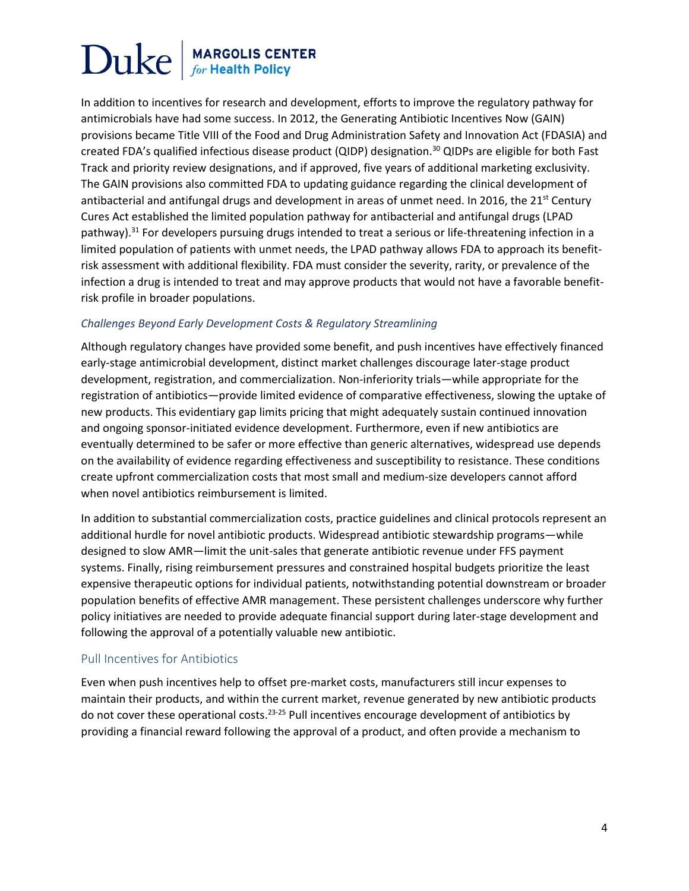In addition to incentives for research and development, efforts to improve the regulatory pathway for antimicrobials have had some success. In 2012, the Generating Antibiotic Incentives Now (GAIN) provisions became Title VIII of the Food and Drug Administration Safety and Innovation Act (FDASIA) and created FDA's qualified infectious disease product (QIDP) designation.<sup>30</sup> QIDPs are eligible for both Fast Track and priority review designations, and if approved, five years of additional marketing exclusivity. The GAIN provisions also committed FDA to updating guidance regarding the clinical development of antibacterial and antifungal drugs and development in areas of unmet need. In 2016, the 21<sup>st</sup> Century Cures Act established the limited population pathway for antibacterial and antifungal drugs (LPAD pathway).<sup>31</sup> For developers pursuing drugs intended to treat a serious or life-threatening infection in a limited population of patients with unmet needs, the LPAD pathway allows FDA to approach its benefitrisk assessment with additional flexibility. FDA must consider the severity, rarity, or prevalence of the infection a drug is intended to treat and may approve products that would not have a favorable benefitrisk profile in broader populations.

#### *Challenges Beyond Early Development Costs & Regulatory Streamlining*

Although regulatory changes have provided some benefit, and push incentives have effectively financed early-stage antimicrobial development, distinct market challenges discourage later-stage product development, registration, and commercialization. Non-inferiority trials—while appropriate for the registration of antibiotics—provide limited evidence of comparative effectiveness, slowing the uptake of new products. This evidentiary gap limits pricing that might adequately sustain continued innovation and ongoing sponsor-initiated evidence development. Furthermore, even if new antibiotics are eventually determined to be safer or more effective than generic alternatives, widespread use depends on the availability of evidence regarding effectiveness and susceptibility to resistance. These conditions create upfront commercialization costs that most small and medium-size developers cannot afford when novel antibiotics reimbursement is limited.

In addition to substantial commercialization costs, practice guidelines and clinical protocols represent an additional hurdle for novel antibiotic products. Widespread antibiotic stewardship programs—while designed to slow AMR—limit the unit-sales that generate antibiotic revenue under FFS payment systems. Finally, rising reimbursement pressures and constrained hospital budgets prioritize the least expensive therapeutic options for individual patients, notwithstanding potential downstream or broader population benefits of effective AMR management. These persistent challenges underscore why further policy initiatives are needed to provide adequate financial support during later-stage development and following the approval of a potentially valuable new antibiotic.

### Pull Incentives for Antibiotics

Even when push incentives help to offset pre-market costs, manufacturers still incur expenses to maintain their products, and within the current market, revenue generated by new antibiotic products do not cover these operational costs.<sup>23-25</sup> Pull incentives encourage development of antibiotics by providing a financial reward following the approval of a product, and often provide a mechanism to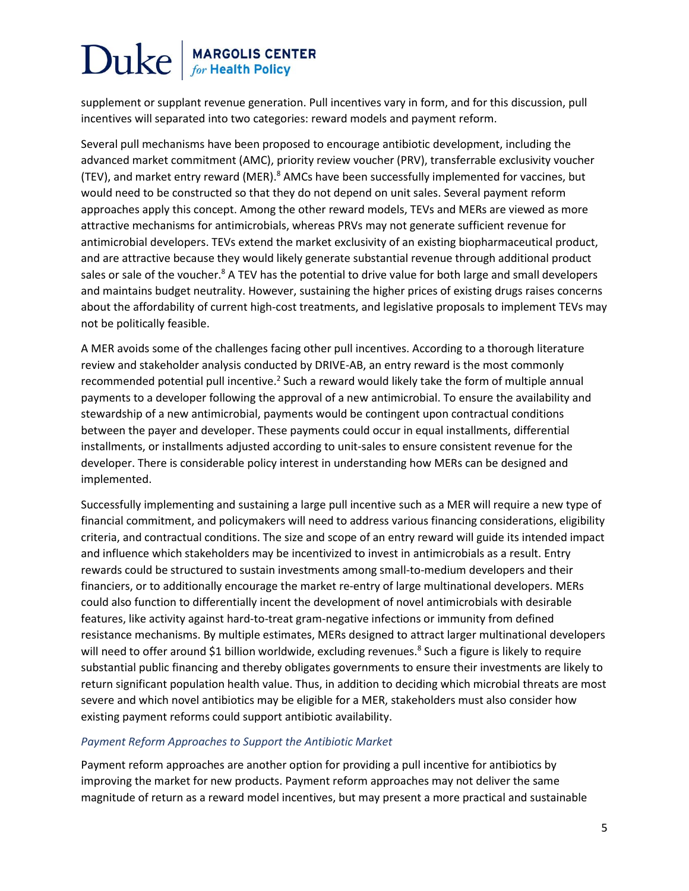supplement or supplant revenue generation. Pull incentives vary in form, and for this discussion, pull incentives will separated into two categories: reward models and payment reform.

Several pull mechanisms have been proposed to encourage antibiotic development, including the advanced market commitment (AMC), priority review voucher (PRV), transferrable exclusivity voucher (TEV), and market entry reward (MER).<sup>8</sup> AMCs have been successfully implemented for vaccines, but would need to be constructed so that they do not depend on unit sales. Several payment reform approaches apply this concept. Among the other reward models, TEVs and MERs are viewed as more attractive mechanisms for antimicrobials, whereas PRVs may not generate sufficient revenue for antimicrobial developers. TEVs extend the market exclusivity of an existing biopharmaceutical product, and are attractive because they would likely generate substantial revenue through additional product sales or sale of the voucher.<sup>8</sup> A TEV has the potential to drive value for both large and small developers and maintains budget neutrality. However, sustaining the higher prices of existing drugs raises concerns about the affordability of current high-cost treatments, and legislative proposals to implement TEVs may not be politically feasible.

A MER avoids some of the challenges facing other pull incentives. According to a thorough literature review and stakeholder analysis conducted by DRIVE-AB, an entry reward is the most commonly recommended potential pull incentive.<sup>2</sup> Such a reward would likely take the form of multiple annual payments to a developer following the approval of a new antimicrobial. To ensure the availability and stewardship of a new antimicrobial, payments would be contingent upon contractual conditions between the payer and developer. These payments could occur in equal installments, differential installments, or installments adjusted according to unit-sales to ensure consistent revenue for the developer. There is considerable policy interest in understanding how MERs can be designed and implemented.

Successfully implementing and sustaining a large pull incentive such as a MER will require a new type of financial commitment, and policymakers will need to address various financing considerations, eligibility criteria, and contractual conditions. The size and scope of an entry reward will guide its intended impact and influence which stakeholders may be incentivized to invest in antimicrobials as a result. Entry rewards could be structured to sustain investments among small-to-medium developers and their financiers, or to additionally encourage the market re-entry of large multinational developers. MERs could also function to differentially incent the development of novel antimicrobials with desirable features, like activity against hard-to-treat gram-negative infections or immunity from defined resistance mechanisms. By multiple estimates, MERs designed to attract larger multinational developers will need to offer around \$1 billion worldwide, excluding revenues.<sup>8</sup> Such a figure is likely to require substantial public financing and thereby obligates governments to ensure their investments are likely to return significant population health value. Thus, in addition to deciding which microbial threats are most severe and which novel antibiotics may be eligible for a MER, stakeholders must also consider how existing payment reforms could support antibiotic availability.

### *Payment Reform Approaches to Support the Antibiotic Market*

Payment reform approaches are another option for providing a pull incentive for antibiotics by improving the market for new products. Payment reform approaches may not deliver the same magnitude of return as a reward model incentives, but may present a more practical and sustainable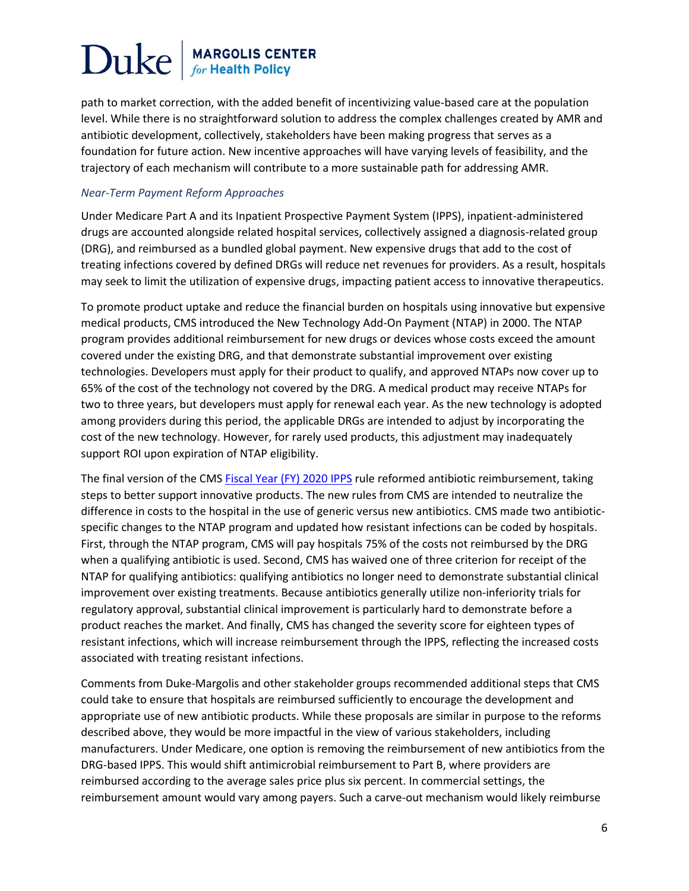path to market correction, with the added benefit of incentivizing value-based care at the population level. While there is no straightforward solution to address the complex challenges created by AMR and antibiotic development, collectively, stakeholders have been making progress that serves as a foundation for future action. New incentive approaches will have varying levels of feasibility, and the trajectory of each mechanism will contribute to a more sustainable path for addressing AMR.

#### *Near-Term Payment Reform Approaches*

Under Medicare Part A and its Inpatient Prospective Payment System (IPPS), inpatient-administered drugs are accounted alongside related hospital services, collectively assigned a diagnosis-related group (DRG), and reimbursed as a bundled global payment. New expensive drugs that add to the cost of treating infections covered by defined DRGs will reduce net revenues for providers. As a result, hospitals may seek to limit the utilization of expensive drugs, impacting patient access to innovative therapeutics.

To promote product uptake and reduce the financial burden on hospitals using innovative but expensive medical products, CMS introduced the New Technology Add-On Payment (NTAP) in 2000. The NTAP program provides additional reimbursement for new drugs or devices whose costs exceed the amount covered under the existing DRG, and that demonstrate substantial improvement over existing technologies. Developers must apply for their product to qualify, and approved NTAPs now cover up to 65% of the cost of the technology not covered by the DRG. A medical product may receive NTAPs for two to three years, but developers must apply for renewal each year. As the new technology is adopted among providers during this period, the applicable DRGs are intended to adjust by incorporating the cost of the new technology. However, for rarely used products, this adjustment may inadequately support ROI upon expiration of NTAP eligibility.

The final version of the CMS [Fiscal Year \(FY\) 2020 IPPS](https://www.federalregister.gov/documents/2019/08/16/2019-16762/medicare-program-hospital-inpatient-prospective-payment-systems-for-acute-care-hospitals-and-the) rule reformed antibiotic reimbursement, taking steps to better support innovative products. The new rules from CMS are intended to neutralize the difference in costs to the hospital in the use of generic versus new antibiotics. CMS made two antibioticspecific changes to the NTAP program and updated how resistant infections can be coded by hospitals. First, through the NTAP program, CMS will pay hospitals 75% of the costs not reimbursed by the DRG when a qualifying antibiotic is used. Second, CMS has waived one of three criterion for receipt of the NTAP for qualifying antibiotics: qualifying antibiotics no longer need to demonstrate substantial clinical improvement over existing treatments. Because antibiotics generally utilize non-inferiority trials for regulatory approval, substantial clinical improvement is particularly hard to demonstrate before a product reaches the market. And finally, CMS has changed the severity score for eighteen types of resistant infections, which will increase reimbursement through the IPPS, reflecting the increased costs associated with treating resistant infections.

Comments from Duke-Margolis and other stakeholder groups recommended additional steps that CMS could take to ensure that hospitals are reimbursed sufficiently to encourage the development and appropriate use of new antibiotic products. While these proposals are similar in purpose to the reforms described above, they would be more impactful in the view of various stakeholders, including manufacturers. Under Medicare, one option is removing the reimbursement of new antibiotics from the DRG-based IPPS. This would shift antimicrobial reimbursement to Part B, where providers are reimbursed according to the average sales price plus six percent. In commercial settings, the reimbursement amount would vary among payers. Such a carve-out mechanism would likely reimburse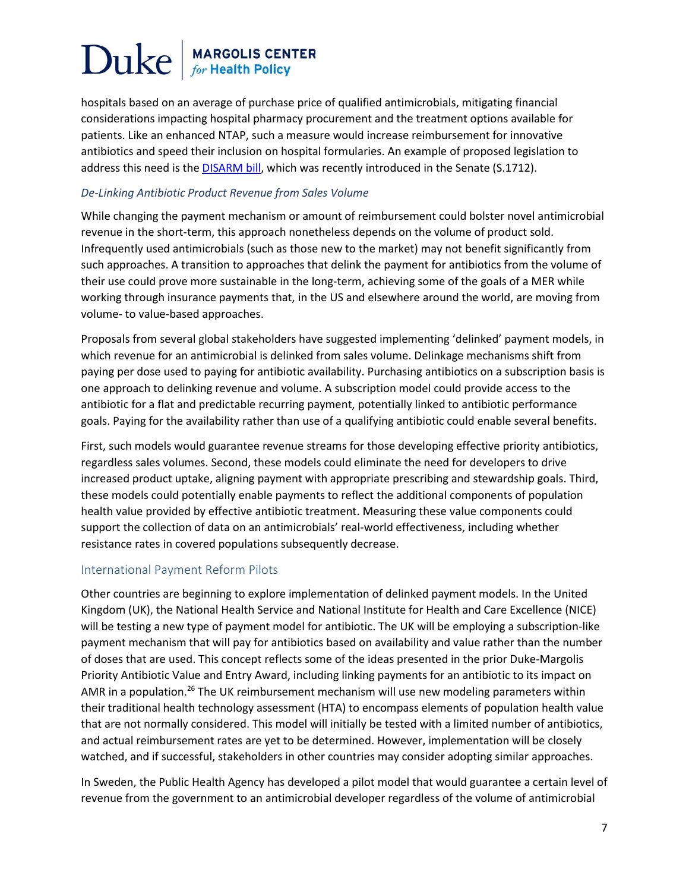hospitals based on an average of purchase price of qualified antimicrobials, mitigating financial considerations impacting hospital pharmacy procurement and the treatment options available for patients. Like an enhanced NTAP, such a measure would increase reimbursement for innovative antibiotics and speed their inclusion on hospital formularies. An example of proposed legislation to address this need is th[e DISARM bill,](https://www.congress.gov/bill/116th-congress/senate-bill/1712/text) which was recently introduced in the Senate (S.1712).

#### *De-Linking Antibiotic Product Revenue from Sales Volume*

While changing the payment mechanism or amount of reimbursement could bolster novel antimicrobial revenue in the short-term, this approach nonetheless depends on the volume of product sold. Infrequently used antimicrobials (such as those new to the market) may not benefit significantly from such approaches. A transition to approaches that delink the payment for antibiotics from the volume of their use could prove more sustainable in the long-term, achieving some of the goals of a MER while working through insurance payments that, in the US and elsewhere around the world, are moving from volume- to value-based approaches.

Proposals from several global stakeholders have suggested implementing 'delinked' payment models, in which revenue for an antimicrobial is delinked from sales volume. Delinkage mechanisms shift from paying per dose used to paying for antibiotic availability. Purchasing antibiotics on a subscription basis is one approach to delinking revenue and volume. A subscription model could provide access to the antibiotic for a flat and predictable recurring payment, potentially linked to antibiotic performance goals. Paying for the availability rather than use of a qualifying antibiotic could enable several benefits.

First, such models would guarantee revenue streams for those developing effective priority antibiotics, regardless sales volumes. Second, these models could eliminate the need for developers to drive increased product uptake, aligning payment with appropriate prescribing and stewardship goals. Third, these models could potentially enable payments to reflect the additional components of population health value provided by effective antibiotic treatment. Measuring these value components could support the collection of data on an antimicrobials' real-world effectiveness, including whether resistance rates in covered populations subsequently decrease.

### International Payment Reform Pilots

Other countries are beginning to explore implementation of delinked payment models. In the United Kingdom (UK), the National Health Service and National Institute for Health and Care Excellence (NICE) will be testing a new type of payment model for antibiotic. The UK will be employing a subscription-like payment mechanism that will pay for antibiotics based on availability and value rather than the number of doses that are used. This concept reflects some of the ideas presented in the prior Duke-Margolis Priority Antibiotic Value and Entry Award, including linking payments for an antibiotic to its impact on AMR in a population.<sup>26</sup> The UK reimbursement mechanism will use new modeling parameters within their traditional health technology assessment (HTA) to encompass elements of population health value that are not normally considered. This model will initially be tested with a limited number of antibiotics, and actual reimbursement rates are yet to be determined. However, implementation will be closely watched, and if successful, stakeholders in other countries may consider adopting similar approaches.

In Sweden, the Public Health Agency has developed a pilot model that would guarantee a certain level of revenue from the government to an antimicrobial developer regardless of the volume of antimicrobial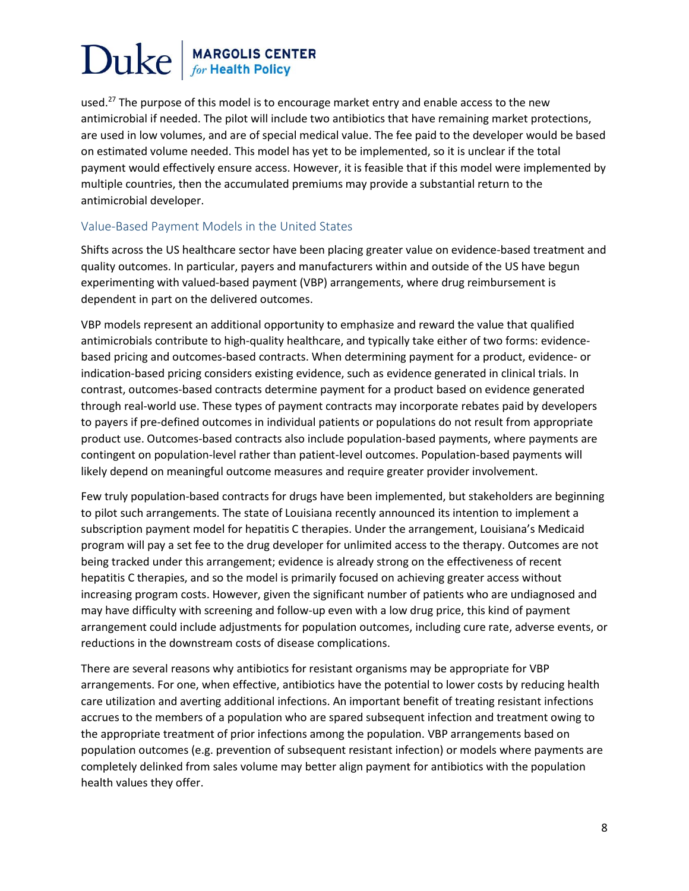used.<sup>27</sup> The purpose of this model is to encourage market entry and enable access to the new antimicrobial if needed. The pilot will include two antibiotics that have remaining market protections, are used in low volumes, and are of special medical value. The fee paid to the developer would be based on estimated volume needed. This model has yet to be implemented, so it is unclear if the total payment would effectively ensure access. However, it is feasible that if this model were implemented by multiple countries, then the accumulated premiums may provide a substantial return to the antimicrobial developer.

### Value-Based Payment Models in the United States

Shifts across the US healthcare sector have been placing greater value on evidence-based treatment and quality outcomes. In particular, payers and manufacturers within and outside of the US have begun experimenting with valued-based payment (VBP) arrangements, where drug reimbursement is dependent in part on the delivered outcomes.

VBP models represent an additional opportunity to emphasize and reward the value that qualified antimicrobials contribute to high-quality healthcare, and typically take either of two forms: evidencebased pricing and outcomes-based contracts. When determining payment for a product, evidence- or indication-based pricing considers existing evidence, such as evidence generated in clinical trials. In contrast, outcomes-based contracts determine payment for a product based on evidence generated through real-world use. These types of payment contracts may incorporate rebates paid by developers to payers if pre-defined outcomes in individual patients or populations do not result from appropriate product use. Outcomes-based contracts also include population-based payments, where payments are contingent on population-level rather than patient-level outcomes. Population-based payments will likely depend on meaningful outcome measures and require greater provider involvement.

Few truly population-based contracts for drugs have been implemented, but stakeholders are beginning to pilot such arrangements. The state of Louisiana recently announced its intention to implement a subscription payment model for hepatitis C therapies. Under the arrangement, Louisiana's Medicaid program will pay a set fee to the drug developer for unlimited access to the therapy. Outcomes are not being tracked under this arrangement; evidence is already strong on the effectiveness of recent hepatitis C therapies, and so the model is primarily focused on achieving greater access without increasing program costs. However, given the significant number of patients who are undiagnosed and may have difficulty with screening and follow-up even with a low drug price, this kind of payment arrangement could include adjustments for population outcomes, including cure rate, adverse events, or reductions in the downstream costs of disease complications.

There are several reasons why antibiotics for resistant organisms may be appropriate for VBP arrangements. For one, when effective, antibiotics have the potential to lower costs by reducing health care utilization and averting additional infections. An important benefit of treating resistant infections accrues to the members of a population who are spared subsequent infection and treatment owing to the appropriate treatment of prior infections among the population. VBP arrangements based on population outcomes (e.g. prevention of subsequent resistant infection) or models where payments are completely delinked from sales volume may better align payment for antibiotics with the population health values they offer.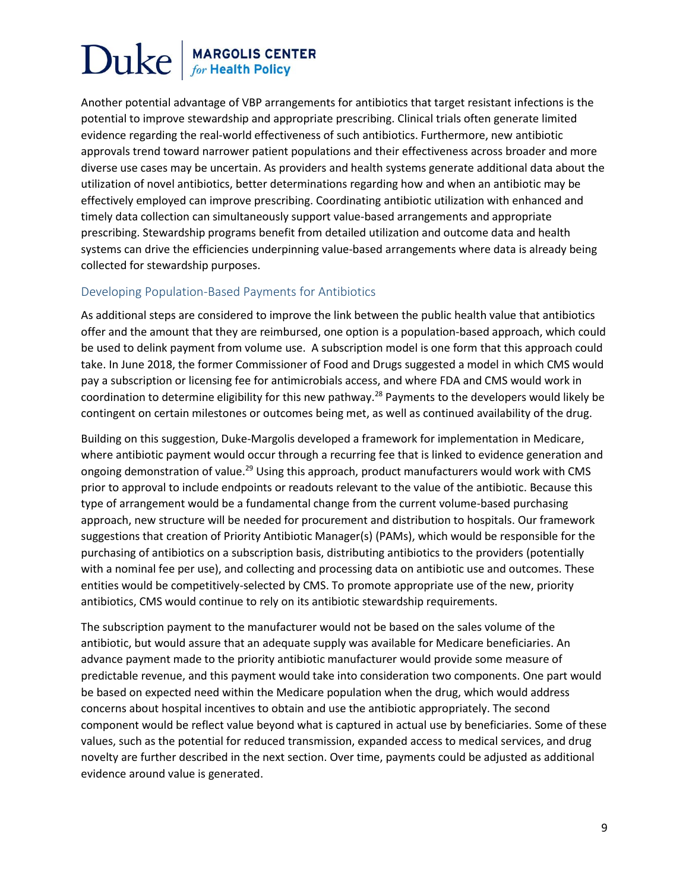Another potential advantage of VBP arrangements for antibiotics that target resistant infections is the potential to improve stewardship and appropriate prescribing. Clinical trials often generate limited evidence regarding the real-world effectiveness of such antibiotics. Furthermore, new antibiotic approvals trend toward narrower patient populations and their effectiveness across broader and more diverse use cases may be uncertain. As providers and health systems generate additional data about the utilization of novel antibiotics, better determinations regarding how and when an antibiotic may be effectively employed can improve prescribing. Coordinating antibiotic utilization with enhanced and timely data collection can simultaneously support value-based arrangements and appropriate prescribing. Stewardship programs benefit from detailed utilization and outcome data and health systems can drive the efficiencies underpinning value-based arrangements where data is already being collected for stewardship purposes.

### Developing Population-Based Payments for Antibiotics

As additional steps are considered to improve the link between the public health value that antibiotics offer and the amount that they are reimbursed, one option is a population-based approach, which could be used to delink payment from volume use. A subscription model is one form that this approach could take. In June 2018, the former Commissioner of Food and Drugs suggested a model in which CMS would pay a subscription or licensing fee for antimicrobials access, and where FDA and CMS would work in coordination to determine eligibility for this new pathway.<sup>28</sup> Payments to the developers would likely be contingent on certain milestones or outcomes being met, as well as continued availability of the drug.

Building on this suggestion, Duke-Margolis developed a framework for implementation in Medicare, where antibiotic payment would occur through a recurring fee that is linked to evidence generation and ongoing demonstration of value.<sup>29</sup> Using this approach, product manufacturers would work with CMS prior to approval to include endpoints or readouts relevant to the value of the antibiotic. Because this type of arrangement would be a fundamental change from the current volume-based purchasing approach, new structure will be needed for procurement and distribution to hospitals. Our framework suggestions that creation of Priority Antibiotic Manager(s) (PAMs), which would be responsible for the purchasing of antibiotics on a subscription basis, distributing antibiotics to the providers (potentially with a nominal fee per use), and collecting and processing data on antibiotic use and outcomes. These entities would be competitively-selected by CMS. To promote appropriate use of the new, priority antibiotics, CMS would continue to rely on its antibiotic stewardship requirements.

The subscription payment to the manufacturer would not be based on the sales volume of the antibiotic, but would assure that an adequate supply was available for Medicare beneficiaries. An advance payment made to the priority antibiotic manufacturer would provide some measure of predictable revenue, and this payment would take into consideration two components. One part would be based on expected need within the Medicare population when the drug, which would address concerns about hospital incentives to obtain and use the antibiotic appropriately. The second component would be reflect value beyond what is captured in actual use by beneficiaries. Some of these values, such as the potential for reduced transmission, expanded access to medical services, and drug novelty are further described in the next section. Over time, payments could be adjusted as additional evidence around value is generated.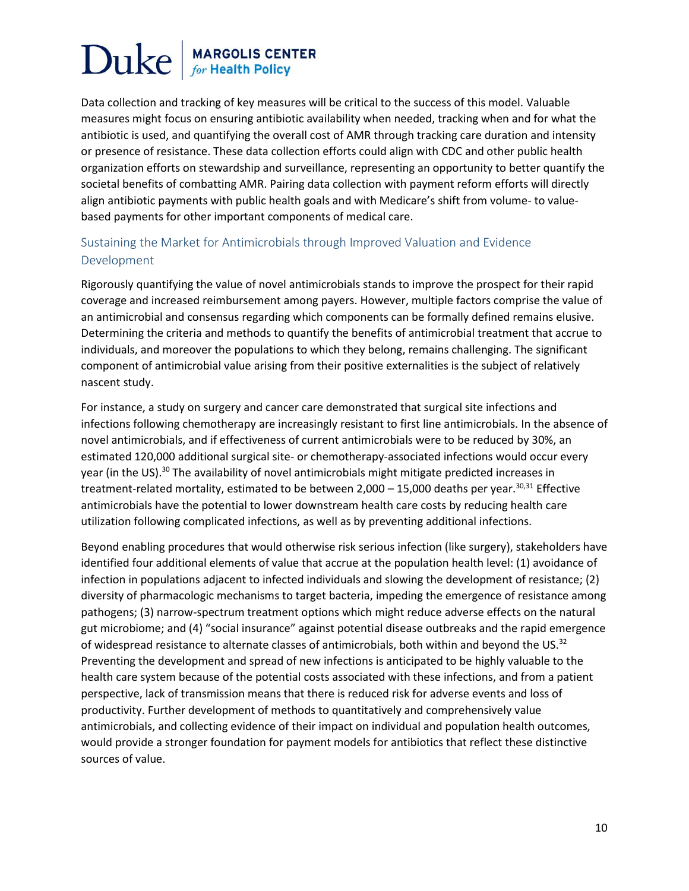Data collection and tracking of key measures will be critical to the success of this model. Valuable measures might focus on ensuring antibiotic availability when needed, tracking when and for what the antibiotic is used, and quantifying the overall cost of AMR through tracking care duration and intensity or presence of resistance. These data collection efforts could align with CDC and other public health organization efforts on stewardship and surveillance, representing an opportunity to better quantify the societal benefits of combatting AMR. Pairing data collection with payment reform efforts will directly align antibiotic payments with public health goals and with Medicare's shift from volume- to valuebased payments for other important components of medical care.

### Sustaining the Market for Antimicrobials through Improved Valuation and Evidence Development

Rigorously quantifying the value of novel antimicrobials stands to improve the prospect for their rapid coverage and increased reimbursement among payers. However, multiple factors comprise the value of an antimicrobial and consensus regarding which components can be formally defined remains elusive. Determining the criteria and methods to quantify the benefits of antimicrobial treatment that accrue to individuals, and moreover the populations to which they belong, remains challenging. The significant component of antimicrobial value arising from their positive externalities is the subject of relatively nascent study.

For instance, a study on surgery and cancer care demonstrated that surgical site infections and infections following chemotherapy are increasingly resistant to first line antimicrobials. In the absence of novel antimicrobials, and if effectiveness of current antimicrobials were to be reduced by 30%, an estimated 120,000 additional surgical site- or chemotherapy-associated infections would occur every year (in the US).<sup>30</sup> The availability of novel antimicrobials might mitigate predicted increases in treatment-related mortality, estimated to be between  $2,000 - 15,000$  deaths per year.<sup>30,31</sup> Effective antimicrobials have the potential to lower downstream health care costs by reducing health care utilization following complicated infections, as well as by preventing additional infections.

Beyond enabling procedures that would otherwise risk serious infection (like surgery), stakeholders have identified four additional elements of value that accrue at the population health level: (1) avoidance of infection in populations adjacent to infected individuals and slowing the development of resistance; (2) diversity of pharmacologic mechanisms to target bacteria, impeding the emergence of resistance among pathogens; (3) narrow-spectrum treatment options which might reduce adverse effects on the natural gut microbiome; and (4) "social insurance" against potential disease outbreaks and the rapid emergence of widespread resistance to alternate classes of antimicrobials, both within and beyond the US.<sup>32</sup> Preventing the development and spread of new infections is anticipated to be highly valuable to the health care system because of the potential costs associated with these infections, and from a patient perspective, lack of transmission means that there is reduced risk for adverse events and loss of productivity. Further development of methods to quantitatively and comprehensively value antimicrobials, and collecting evidence of their impact on individual and population health outcomes, would provide a stronger foundation for payment models for antibiotics that reflect these distinctive sources of value.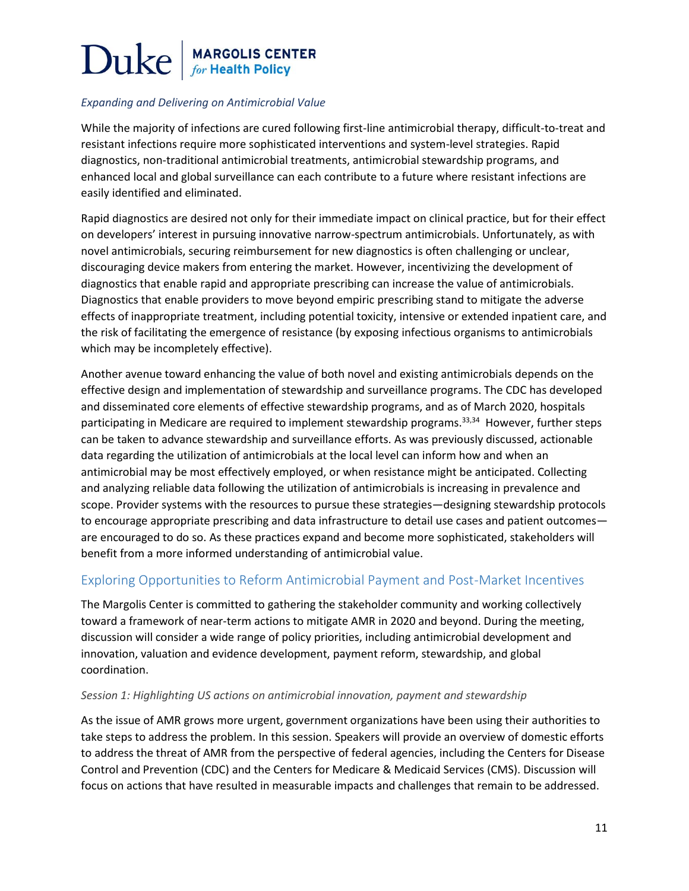### *Expanding and Delivering on Antimicrobial Value*

While the majority of infections are cured following first-line antimicrobial therapy, difficult-to-treat and resistant infections require more sophisticated interventions and system-level strategies. Rapid diagnostics, non-traditional antimicrobial treatments, antimicrobial stewardship programs, and enhanced local and global surveillance can each contribute to a future where resistant infections are easily identified and eliminated.

Rapid diagnostics are desired not only for their immediate impact on clinical practice, but for their effect on developers' interest in pursuing innovative narrow-spectrum antimicrobials. Unfortunately, as with novel antimicrobials, securing reimbursement for new diagnostics is often challenging or unclear, discouraging device makers from entering the market. However, incentivizing the development of diagnostics that enable rapid and appropriate prescribing can increase the value of antimicrobials. Diagnostics that enable providers to move beyond empiric prescribing stand to mitigate the adverse effects of inappropriate treatment, including potential toxicity, intensive or extended inpatient care, and the risk of facilitating the emergence of resistance (by exposing infectious organisms to antimicrobials which may be incompletely effective).

Another avenue toward enhancing the value of both novel and existing antimicrobials depends on the effective design and implementation of stewardship and surveillance programs. The CDC has developed and disseminated core elements of effective stewardship programs, and as of March 2020, hospitals participating in Medicare are required to implement stewardship programs.<sup>33,34</sup> However, further steps can be taken to advance stewardship and surveillance efforts. As was previously discussed, actionable data regarding the utilization of antimicrobials at the local level can inform how and when an antimicrobial may be most effectively employed, or when resistance might be anticipated. Collecting and analyzing reliable data following the utilization of antimicrobials is increasing in prevalence and scope. Provider systems with the resources to pursue these strategies—designing stewardship protocols to encourage appropriate prescribing and data infrastructure to detail use cases and patient outcomes are encouraged to do so. As these practices expand and become more sophisticated, stakeholders will benefit from a more informed understanding of antimicrobial value.

### Exploring Opportunities to Reform Antimicrobial Payment and Post-Market Incentives

The Margolis Center is committed to gathering the stakeholder community and working collectively toward a framework of near-term actions to mitigate AMR in 2020 and beyond. During the meeting, discussion will consider a wide range of policy priorities, including antimicrobial development and innovation, valuation and evidence development, payment reform, stewardship, and global coordination.

#### *Session 1: Highlighting US actions on antimicrobial innovation, payment and stewardship*

As the issue of AMR grows more urgent, government organizations have been using their authorities to take steps to address the problem. In this session. Speakers will provide an overview of domestic efforts to address the threat of AMR from the perspective of federal agencies, including the Centers for Disease Control and Prevention (CDC) and the Centers for Medicare & Medicaid Services (CMS). Discussion will focus on actions that have resulted in measurable impacts and challenges that remain to be addressed.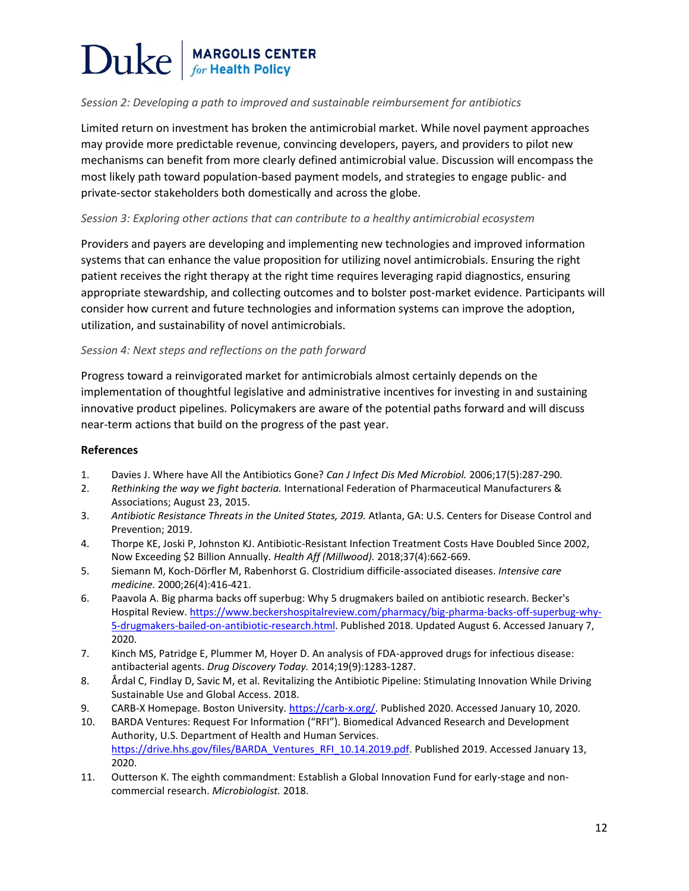### *Session 2: Developing a path to improved and sustainable reimbursement for antibiotics*

Limited return on investment has broken the antimicrobial market. While novel payment approaches may provide more predictable revenue, convincing developers, payers, and providers to pilot new mechanisms can benefit from more clearly defined antimicrobial value. Discussion will encompass the most likely path toward population-based payment models, and strategies to engage public- and private-sector stakeholders both domestically and across the globe.

#### *Session 3: Exploring other actions that can contribute to a healthy antimicrobial ecosystem*

Providers and payers are developing and implementing new technologies and improved information systems that can enhance the value proposition for utilizing novel antimicrobials. Ensuring the right patient receives the right therapy at the right time requires leveraging rapid diagnostics, ensuring appropriate stewardship, and collecting outcomes and to bolster post-market evidence. Participants will consider how current and future technologies and information systems can improve the adoption, utilization, and sustainability of novel antimicrobials.

#### *Session 4: Next steps and reflections on the path forward*

Progress toward a reinvigorated market for antimicrobials almost certainly depends on the implementation of thoughtful legislative and administrative incentives for investing in and sustaining innovative product pipelines. Policymakers are aware of the potential paths forward and will discuss near-term actions that build on the progress of the past year.

#### **References**

- 1. Davies J. Where have All the Antibiotics Gone? *Can J Infect Dis Med Microbiol.* 2006;17(5):287-290.
- 2. *Rethinking the way we fight bacteria.* International Federation of Pharmaceutical Manufacturers & Associations; August 23, 2015.
- 3. Antibiotic Resistance Threats in the United States, 2019. Atlanta, GA: U.S. Centers for Disease Control and Prevention; 2019.
- 4. Thorpe KE, Joski P, Johnston KJ. Antibiotic-Resistant Infection Treatment Costs Have Doubled Since 2002, Now Exceeding \$2 Billion Annually. *Health Aff (Millwood).* 2018;37(4):662-669.
- 5. Siemann M, Koch-Dörfler M, Rabenhorst G. Clostridium difficile-associated diseases. *Intensive care medicine.* 2000;26(4):416-421.
- 6. Paavola A. Big pharma backs off superbug: Why 5 drugmakers bailed on antibiotic research. Becker's Hospital Review. [https://www.beckershospitalreview.com/pharmacy/big-pharma-backs-off-superbug-why-](https://www.beckershospitalreview.com/pharmacy/big-pharma-backs-off-superbug-why-5-drugmakers-bailed-on-antibiotic-research.html)[5-drugmakers-bailed-on-antibiotic-research.html.](https://www.beckershospitalreview.com/pharmacy/big-pharma-backs-off-superbug-why-5-drugmakers-bailed-on-antibiotic-research.html) Published 2018. Updated August 6. Accessed January 7, 2020.
- 7. Kinch MS, Patridge E, Plummer M, Hoyer D. An analysis of FDA-approved drugs for infectious disease: antibacterial agents. *Drug Discovery Today.* 2014;19(9):1283-1287.
- 8. Årdal C, Findlay D, Savic M, et al. Revitalizing the Antibiotic Pipeline: Stimulating Innovation While Driving Sustainable Use and Global Access. 2018.
- 9. CARB-X Homepage. Boston University. [https://carb-x.org/.](https://carb-x.org/) Published 2020. Accessed January 10, 2020.
- 10. BARDA Ventures: Request For Information ("RFI"). Biomedical Advanced Research and Development Authority, U.S. Department of Health and Human Services. [https://drive.hhs.gov/files/BARDA\\_Ventures\\_RFI\\_10.14.2019.pdf.](https://drive.hhs.gov/files/BARDA_Ventures_RFI_10.14.2019.pdf) Published 2019. Accessed January 13, 2020.
- 11. Outterson K. The eighth commandment: Establish a Global Innovation Fund for early-stage and noncommercial research. *Microbiologist.* 2018.